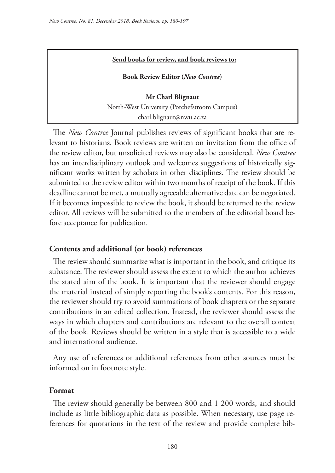#### **Send books for review, and book reviews to:**

**Book Review Editor (***New Contree***)** 

**Mr Charl Blignaut** North-West University (Potchefstroom Campus) charl.blignaut@nwu.ac.za

The *New Contree* Journal publishes reviews of significant books that are relevant to historians. Book reviews are written on invitation from the office of the review editor, but unsolicited reviews may also be considered. *New Contree*  has an interdisciplinary outlook and welcomes suggestions of historically significant works written by scholars in other disciplines. The review should be submitted to the review editor within two months of receipt of the book. If this deadline cannot be met, a mutually agreeable alternative date can be negotiated. If it becomes impossible to review the book, it should be returned to the review editor. All reviews will be submitted to the members of the editorial board before acceptance for publication.

#### **Contents and additional (or book) references**

The review should summarize what is important in the book, and critique its substance. The reviewer should assess the extent to which the author achieves the stated aim of the book. It is important that the reviewer should engage the material instead of simply reporting the book's contents. For this reason, the reviewer should try to avoid summations of book chapters or the separate contributions in an edited collection. Instead, the reviewer should assess the ways in which chapters and contributions are relevant to the overall context of the book. Reviews should be written in a style that is accessible to a wide and international audience.

Any use of references or additional references from other sources must be informed on in footnote style.

#### **Format**

The review should generally be between 800 and 1 200 words, and should include as little bibliographic data as possible. When necessary, use page references for quotations in the text of the review and provide complete bib-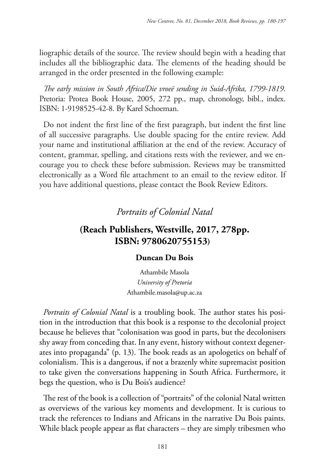liographic details of the source. The review should begin with a heading that includes all the bibliographic data. The elements of the heading should be arranged in the order presented in the following example:

*The early mission in South Africa/Die vroeë sending in Suid-Afrika, 1799-1819*. Pretoria: Protea Book House, 2005, 272 pp., map, chronology, bibl., index. ISBN: 1-9198525-42-8. By Karel Schoeman.

Do not indent the first line of the first paragraph, but indent the first line of all successive paragraphs. Use double spacing for the entire review. Add your name and institutional affiliation at the end of the review. Accuracy of content, grammar, spelling, and citations rests with the reviewer, and we encourage you to check these before submission. Reviews may be transmitted electronically as a Word file attachment to an email to the review editor. If you have additional questions, please contact the Book Review Editors.

# *Portraits of Colonial Natal*

# **(Reach Publishers, Westville, 2017, 278pp. ISBN: 9780620755153)**

## **Duncan Du Bois**

Athambile Masola *University of Pretoria* Athambile.masola@up.ac.za

*Portraits of Colonial Natal* is a troubling book. The author states his position in the introduction that this book is a response to the decolonial project because he believes that "colonisation was good in parts, but the decolonisers shy away from conceding that. In any event, history without context degenerates into propaganda" (p. 13). The book reads as an apologetics on behalf of colonialism. This is a dangerous, if not a brazenly white supremacist position to take given the conversations happening in South Africa. Furthermore, it begs the question, who is Du Bois's audience?

The rest of the book is a collection of "portraits" of the colonial Natal written as overviews of the various key moments and development. It is curious to track the references to Indians and Africans in the narrative Du Bois paints. While black people appear as flat characters – they are simply tribesmen who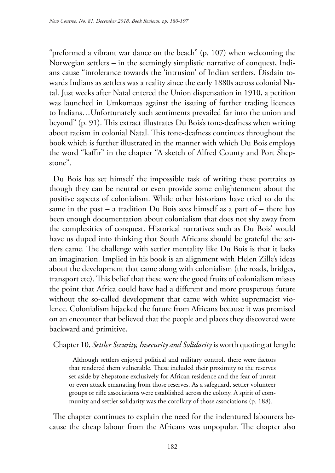"preformed a vibrant war dance on the beach" (p. 107) when welcoming the Norwegian settlers – in the seemingly simplistic narrative of conquest, Indians cause "intolerance towards the 'intrusion' of Indian settlers. Disdain towards Indians as settlers was a reality since the early 1880s across colonial Natal. Just weeks after Natal entered the Union dispensation in 1910, a petition was launched in Umkomaas against the issuing of further trading licences to Indians…Unfortunately such sentiments prevailed far into the union and beyond" (p. 91). This extract illustrates Du Bois's tone-deafness when writing about racism in colonial Natal. This tone-deafness continues throughout the book which is further illustrated in the manner with which Du Bois employs the word "kaffir" in the chapter "A sketch of Alfred County and Port Shepstone".

Du Bois has set himself the impossible task of writing these portraits as though they can be neutral or even provide some enlightenment about the positive aspects of colonialism. While other historians have tried to do the same in the past – a tradition Du Bois sees himself as a part of – there has been enough documentation about colonialism that does not shy away from the complexities of conquest. Historical narratives such as Du Bois' would have us duped into thinking that South Africans should be grateful the settlers came. The challenge with settler mentality like Du Bois is that it lacks an imagination. Implied in his book is an alignment with Helen Zille's ideas about the development that came along with colonialism (the roads, bridges, transport etc). This belief that these were the good fruits of colonialism misses the point that Africa could have had a different and more prosperous future without the so-called development that came with white supremacist violence. Colonialism hijacked the future from Africans because it was premised on an encounter that believed that the people and places they discovered were backward and primitive.

## Chapter 10, *Settler Security, Insecurity and Solidarity* is worth quoting at length:

Although settlers enjoyed political and military control, there were factors that rendered them vulnerable. These included their proximity to the reserves set aside by Shepstone exclusively for African residence and the fear of unrest or even attack emanating from those reserves. As a safeguard, settler volunteer groups or rifle associations were established across the colony. A spirit of community and settler solidarity was the corollary of those associations (p. 188).

The chapter continues to explain the need for the indentured labourers because the cheap labour from the Africans was unpopular. The chapter also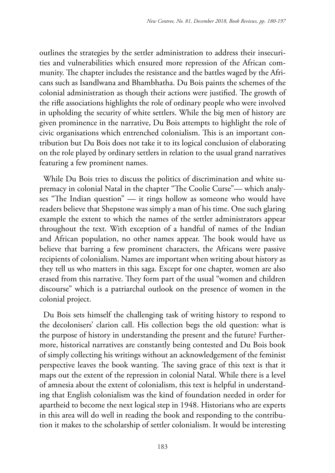outlines the strategies by the settler administration to address their insecurities and vulnerabilities which ensured more repression of the African community. The chapter includes the resistance and the battles waged by the Africans such as Isandlwana and Bhambhatha. Du Bois paints the schemes of the colonial administration as though their actions were justified. The growth of the rifle associations highlights the role of ordinary people who were involved in upholding the security of white settlers. While the big men of history are given prominence in the narrative, Du Bois attempts to highlight the role of civic organisations which entrenched colonialism. This is an important contribution but Du Bois does not take it to its logical conclusion of elaborating on the role played by ordinary settlers in relation to the usual grand narratives featuring a few prominent names.

While Du Bois tries to discuss the politics of discrimination and white supremacy in colonial Natal in the chapter "The Coolie Curse"— which analyses "The Indian question" — it rings hollow as someone who would have readers believe that Shepstone was simply a man of his time. One such glaring example the extent to which the names of the settler administrators appear throughout the text. With exception of a handful of names of the Indian and African population, no other names appear. The book would have us believe that barring a few prominent characters, the Africans were passive recipients of colonialism. Names are important when writing about history as they tell us who matters in this saga. Except for one chapter, women are also erased from this narrative. They form part of the usual "women and children discourse" which is a patriarchal outlook on the presence of women in the colonial project.

Du Bois sets himself the challenging task of writing history to respond to the decolonisers' clarion call. His collection begs the old question: what is the purpose of history in understanding the present and the future? Furthermore, historical narratives are constantly being contested and Du Bois book of simply collecting his writings without an acknowledgement of the feminist perspective leaves the book wanting. The saving grace of this text is that it maps out the extent of the repression in colonial Natal. While there is a level of amnesia about the extent of colonialism, this text is helpful in understanding that English colonialism was the kind of foundation needed in order for apartheid to become the next logical step in 1948. Historians who are experts in this area will do well in reading the book and responding to the contribution it makes to the scholarship of settler colonialism. It would be interesting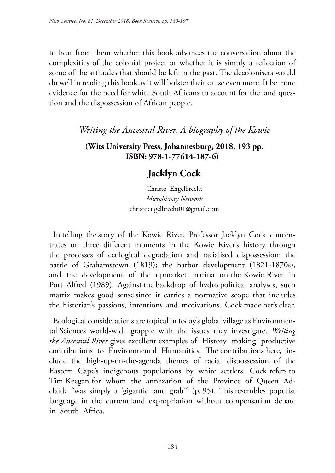to hear from them whether this book advances the conversation about the complexities of the colonial project or whether it is simply a reflection of some of the attitudes that should be left in the past. The decolonisers would do well in reading this book as it will bolster their cause even more. It be more evidence for the need for white South Africans to account for the land question and the dispossession of African people.

## *Writing the Ancestral River. A biography of the Kowie*

## **(Wits University Press, Johannesburg, 2018, 193 pp. ISBN: 978-1-77614-187-6)**

# **Jacklyn Cock**

Christo Engelbrecht *Microhistory Network* christoengelbrecht01@gmail.com

In telling the story of the Kowie River, Professor Jacklyn Cock concentrates on three different moments in the Kowie River's history through the processes of ecological degradation and racialised dispossession: the battle of Grahamstown (1819); the harbor development (1821-1870s), and the development of the upmarket marina on the Kowie River in Port Alfred (1989). Against the backdrop of hydro political analyses, such matrix makes good sense since it carries a normative scope that includes the historian's passions, intentions and motivations. Cock made her's clear.

Ecological considerations are topical in today's global village as Environmental Sciences world-wide grapple with the issues they investigate. *Writing the Ancestral River* gives excellent examples of History making productive contributions to Environmental Humanities. The contributions here, include the high-up-on-the-agenda themes of racial dispossession of the Eastern Cape's indigenous populations by white settlers. Cock refers to Tim Keegan for whom the annexation of the Province of Queen Adelaide "was simply a 'gigantic land grab'" (p. 95). This resembles populist language in the current land expropriation without compensation debate in South Africa.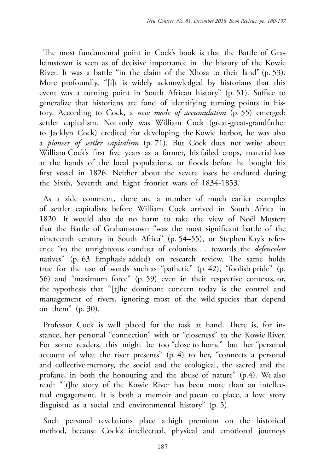The most fundamental point in Cock's book is that the Battle of Grahamstown is seen as of decisive importance in the history of the Kowie River. It was a battle "in the claim of the Xhosa to their land" (p. 53). More profoundly, "[i]t is widely acknowledged by historians that this event was a turning point in South African history" (p. 51). Suffice to generalize that historians are fond of identifying turning points in history. According to Cock, a *new mode of accumulation* (p. 55) emerged: settler capitalism. Not only was William Cock (great-great-grandfather to Jacklyn Cock) credited for developing the Kowie harbor, he was also a *pioneer of settler capitalism* (p. 71). But Cock does not write about William Cock's first five years as a farmer, his failed crops, material loss at the hands of the local populations, or floods before he bought his first vessel in 1826. Neither about the severe loses he endured during the Sixth, Seventh and Eight frontier wars of 1834-1853.

As a side comment, there are a number of much earlier examples of settler capitalists before William Cock arrived in South Africa in 1820. It would also do no harm to take the view of Noël Mostert that the Battle of Grahamstown "was the most significant battle of the nineteenth century in South Africa" (p. 54–55), or Stephen Kay's reference "to the unrighteous conduct of colonists … towards the *defenceless* natives" (p. 63. Emphasis added) on research review. The same holds true for the use of words such as "pathetic" (p. 42), "foolish pride" (p. 56) and "maximum force" (p. 59) even in their respective contexts, or, the hypothesis that "[t]he dominant concern today is the control and management of rivers, ignoring most of the wild species that depend on them" (p. 30).

Professor Cock is well placed for the task at hand. There is, for instance, her personal "connection" with or "closeness" to the Kowie River. For some readers, this might be too "close to home" but her "personal account of what the river presents" (p. 4) to her, "connects a personal and collective memory, the social and the ecological, the sacred and the profane, in both the honouring and the abuse of nature" (p.4). We also read: "[t]he story of the Kowie River has been more than an intellectual engagement. It is both a memoir and paean to place, a love story disguised as a social and environmental history" (p. 5).

Such personal revelations place a high premium on the historical method, because Cock's intellectual, physical and emotional journeys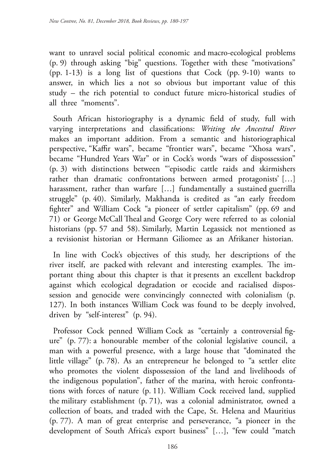want to unravel social political economic and macro-ecological problems (p. 9) through asking "big" questions. Together with these "motivations" (pp. 1-13) is a long list of questions that Cock (pp. 9-10) wants to answer, in which lies a not so obvious but important value of this study – the rich potential to conduct future micro-historical studies of all three "moments".

South African historiography is a dynamic field of study, full with varying interpretations and classifications: *Writing the Ancestral River* makes an important addition. From a semantic and historiographical perspective, "Kaffir wars", became "frontier wars", became "Xhosa wars", became "Hundred Years War" or in Cock's words "wars of dispossession" (p. 3) with distinctions between "'episodic cattle raids and skirmishers rather than dramatic confrontations between armed protagonists' […] harassment, rather than warfare […] fundamentally a sustained guerrilla struggle" (p. 40). Similarly, Makhanda is credited as "an early freedom fighter" and William Cock "a pioneer of settler capitalism" (pp. 69 and 71) or George McCall Theal and George Cory were referred to as colonial historians (pp. 57 and 58). Similarly, Martin Legassick not mentioned as a revisionist historian or Hermann Giliomee as an Afrikaner historian.

In line with Cock's objectives of this study, her descriptions of the river itself, are packed with relevant and interesting examples. The important thing about this chapter is that it presents an excellent backdrop against which ecological degradation or ecocide and racialised dispossession and genocide were convincingly connected with colonialism (p. 127). In both instances William Cock was found to be deeply involved, driven by "self-interest" (p. 94).

Professor Cock penned William Cock as "certainly a controversial figure" (p. 77): a honourable member of the colonial legislative council, a man with a powerful presence, with a large house that "dominated the little village" (p. 78). As an entrepreneur he belonged to "a settler elite who promotes the violent dispossession of the land and livelihoods of the indigenous population", father of the marina, with heroic confrontations with forces of nature (p. 11). William Cock received land, supplied the military establishment (p. 71), was a colonial administrator, owned a collection of boats, and traded with the Cape, St. Helena and Mauritius (p. 77). A man of great enterprise and perseverance, "a pioneer in the development of South Africa's export business" […], "few could "match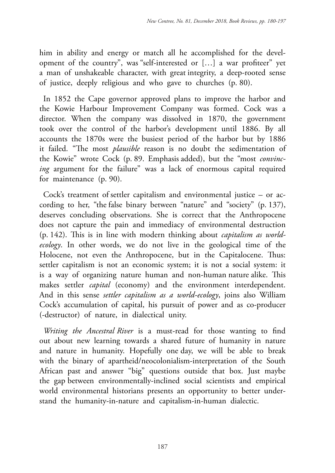him in ability and energy or match all he accomplished for the development of the country", was "self-interested or […] a war profiteer" yet a man of unshakeable character, with great integrity, a deep-rooted sense of justice, deeply religious and who gave to churches (p. 80).

In 1852 the Cape governor approved plans to improve the harbor and the Kowie Harbour Improvement Company was formed. Cock was a director. When the company was dissolved in 1870, the government took over the control of the harbor's development until 1886. By all accounts the 1870s were the busiest period of the harbor but by 1886 it failed. "The most *plausible* reason is no doubt the sedimentation of the Kowie" wrote Cock (p. 89. Emphasis added), but the "most *convincing* argument for the failure" was a lack of enormous capital required for maintenance (p. 90).

Cock's treatment of settler capitalism and environmental justice – or according to her, "the false binary between "nature" and "society" (p. 137), deserves concluding observations. She is correct that the Anthropocene does not capture the pain and immediacy of environmental destruction (p. 142). This is in line with modern thinking about *capitalism as worldecology*. In other words, we do not live in the geological time of the Holocene, not even the Anthropocene, but in the Capitalocene. Thus: settler capitalism is not an economic system; it is not a social system: it is a way of organizing nature human and non-human nature alike. This makes settler *capital* (economy) and the environment interdependent. And in this sense *settler capitalism as a world-ecology*, joins also William Cock's accumulation of capital, his pursuit of power and as co-producer (-destructor) of nature, in dialectical unity.

*Writing the Ancestral River* is a must-read for those wanting to find out about new learning towards a shared future of humanity in nature and nature in humanity. Hopefully one day, we will be able to break with the binary of apartheid/neocolonialism-interpretation of the South African past and answer "big" questions outside that box. Just maybe the gap between environmentally-inclined social scientists and empirical world environmental historians presents an opportunity to better understand the humanity-in-nature and capitalism-in-human dialectic.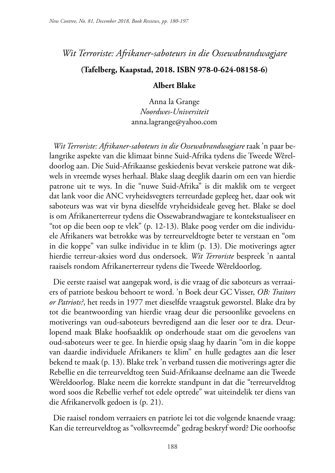## *Wit Terroriste: Afrikaner-saboteurs in die Ossewabrandwagjare*

### **(Tafelberg, Kaapstad, 2018. ISBN 978-0-624-08158-6)**

#### **Albert Blake**

Anna la Grange *Noordwes-Universiteit* anna.lagrange@yahoo.com

*Wit Terroriste: Afrikaner-saboteurs in die Ossewabrandwagjare* raak 'n paar belangrike aspekte van die klimaat binne Suid-Afrika tydens die Tweede Wêreldoorlog aan. Die Suid-Afrikaanse geskiedenis bevat verskeie patrone wat dikwels in vreemde wyses herhaal. Blake slaag deeglik daarin om een van hierdie patrone uit te wys. In die "nuwe Suid-Afrika" is dit maklik om te vergeet dat lank voor die ANC vryheidsvegters terreurdade gepleeg het, daar ook wit saboteurs was wat vir byna dieselfde vryheidsideale geveg het. Blake se doel is om Afrikanerterreur tydens die Ossewabrandwagjare te kontekstualiseer en "tot op die been oop te vlek" (p. 12-13). Blake poog verder om die individuele Afrikaners wat betrokke was by terreurveldtogte beter te verstaan en "om in die koppe" van sulke individue in te klim (p. 13). Die motiverings agter hierdie terreur-aksies word dus ondersoek. *Wit Terroriste* bespreek 'n aantal raaisels rondom Afrikanerterreur tydens die Tweede Wêreldoorlog.

Die eerste raaisel wat aangepak word, is die vraag of die saboteurs as verraaiers of patriote beskou behoort te word. 'n Boek deur GC Visser, *OB: Traitors or Patriots?*, het reeds in 1977 met dieselfde vraagstuk geworstel. Blake dra by tot die beantwoording van hierdie vraag deur die persoonlike gevoelens en motiverings van oud-saboteurs bevredigend aan die leser oor te dra. Deurlopend maak Blake hoofsaaklik op onderhoude staat om die gevoelens van oud-saboteurs weer te gee. In hierdie opsig slaag hy daarin "om in die koppe van daardie individuele Afrikaners te klim" en hulle gedagtes aan die leser bekend te maak (p. 13). Blake trek 'n verband tussen die motiverings agter die Rebellie en die terreurveldtog teen Suid-Afrikaanse deelname aan die Tweede Wêreldoorlog. Blake neem die korrekte standpunt in dat die "terreurveldtog word soos die Rebellie verhef tot edele optrede" wat uiteindelik ter diens van die Afrikanervolk gedoen is (p. 21).

Die raaisel rondom verraaiers en patriote lei tot die volgende knaende vraag: Kan die terreurveldtog as "volksvreemde" gedrag beskryf word? Die oorhoofse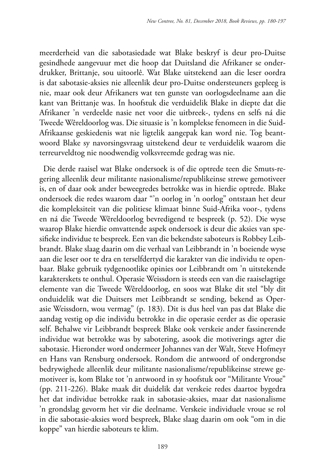meerderheid van die sabotasiedade wat Blake beskryf is deur pro-Duitse gesindhede aangevuur met die hoop dat Duitsland die Afrikaner se onderdrukker, Brittanje, sou uitoorlê. Wat Blake uitstekend aan die leser oordra is dat sabotasie-aksies nie alleenlik deur pro-Duitse ondersteuners gepleeg is nie, maar ook deur Afrikaners wat ten gunste van oorlogsdeelname aan die kant van Brittanje was. In hoofstuk die verduidelik Blake in diepte dat die Afrikaner 'n verdeelde nasie net voor die uitbreek-, tydens en selfs ná die Tweede Wêreldoorlog was. Die situasie is 'n komplekse fenomeen in die Suid-Afrikaanse geskiedenis wat nie ligtelik aangepak kan word nie. Tog beantwoord Blake sy navorsingsvraag uitstekend deur te verduidelik waarom die terreurveldtog nie noodwendig volksvreemde gedrag was nie.

Die derde raaisel wat Blake ondersoek is of die optrede teen die Smuts-regering alleenlik deur militante nasionalisme/republikeinse strewe gemotiveer is, en of daar ook ander beweegredes betrokke was in hierdie optrede. Blake ondersoek die redes waarom daar "'n oorlog in 'n oorlog" ontstaan het deur die kompleksiteit van die politiese klimaat binne Suid-Afrika voor-, tydens en ná die Tweede Wêreldoorlog bevredigend te bespreek (p. 52). Die wyse waarop Blake hierdie omvattende aspek ondersoek is deur die aksies van spesifieke individue te bespreek. Een van die bekendste saboteurs is Robbey Leibbrandt. Blake slaag daarin om die verhaal van Leibbrandt in 'n boeiende wyse aan die leser oor te dra en terselfdertyd die karakter van die individu te openbaar. Blake gebruik tydgenootlike opinies oor Leibbrandt om 'n uitstekende karakterskets te onthul. Operasie Weissdorn is steeds een van die raaiselagtige elemente van die Tweede Wêreldoorlog, en soos wat Blake dit stel "bly dit onduidelik wat die Duitsers met Leibbrandt se sending, bekend as Operasie Weissdorn, wou vermag" (p. 183). Dit is dus heel van pas dat Blake die aandag vestig op die individu betrokke in die operasie eerder as die operasie self. Behalwe vir Leibbrandt bespreek Blake ook verskeie ander fassinerende individue wat betrokke was by sabotering, asook die motiverings agter die sabotasie. Hieronder word ondermeer Johannes van der Walt, Steve Hofmeyr en Hans van Rensburg ondersoek. Rondom die antwoord of ondergrondse bedrywighede alleenlik deur militante nasionalisme/republikeinse strewe gemotiveer is, kom Blake tot 'n antwoord in sy hoofstuk oor "Militante Vroue" (pp. 211-226). Blake maak dit duidelik dat verskeie redes daartoe bygedra het dat individue betrokke raak in sabotasie-aksies, maar dat nasionalisme 'n grondslag gevorm het vir die deelname. Verskeie individuele vroue se rol in die sabotasie-aksies word bespreek, Blake slaag daarin om ook "om in die koppe" van hierdie saboteurs te klim.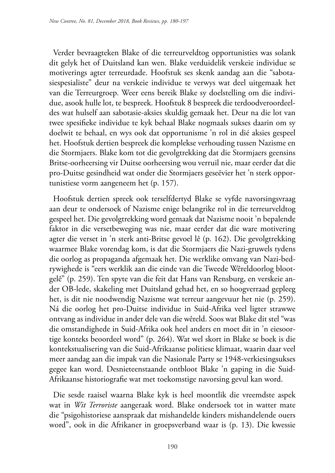Verder bevraagteken Blake of die terreurveldtog opportunisties was solank dit gelyk het of Duitsland kan wen. Blake verduidelik verskeie individue se motiverings agter terreurdade. Hoofstuk ses skenk aandag aan die "sabotasiespesialiste" deur na verskeie individue te verwys wat deel uitgemaak het van die Terreurgroep. Weer eens bereik Blake sy doelstelling om die individue, asook hulle lot, te bespreek. Hoofstuk 8 bespreek die terdoodveroordeeldes wat hulself aan sabotasie-aksies skuldig gemaak het. Deur na die lot van twee spesifieke individue te kyk behaal Blake nogmaals sukses daarin om sy doelwit te behaal, en wys ook dat opportunisme 'n rol in dié aksies gespeel het. Hoofstuk dertien bespreek die komplekse verhouding tussen Nazisme en die Stormjaers. Blake kom tot die gevolgtrekking dat die Stormjaers geensins Britse-oorheersing vir Duitse oorheersing wou verruil nie, maar eerder dat die pro-Duitse gesindheid wat onder die Stormjaers geseëvier het 'n sterk opportunistiese vorm aangeneem het (p. 157).

Hoofstuk dertien spreek ook terselfdertyd Blake se vyfde navorsingsvraag aan deur te ondersoek of Nazisme enige belangrike rol in die terreurveldtog gespeel het. Die gevolgtrekking word gemaak dat Nazisme nooit 'n bepalende faktor in die versetbeweging was nie, maar eerder dat die ware motivering agter die verset in 'n sterk anti-Britse gevoel lê (p. 162). Die gevolgtrekking waarmee Blake vorendag kom, is dat die Stormjaers die Nazi-gruwels tydens die oorlog as propaganda afgemaak het. Die werklike omvang van Nazi-bedrywighede is "eers werklik aan die einde van die Tweede Wêreldoorlog blootgelê" (p. 259). Ten spyte van die feit dat Hans van Rensburg, en verskeie ander OB-lede, skakeling met Duitsland gehad het, en so hoogverraad gepleeg het, is dit nie noodwendig Nazisme wat terreur aangevuur het nie (p. 259). Ná die oorlog het pro-Duitse individue in Suid-Afrika veel ligter strawwe ontvang as individue in ander dele van die wêreld. Soos wat Blake dit stel "was die omstandighede in Suid-Afrika ook heel anders en moet dit in 'n eiesoortige konteks beoordeel word" (p. 264). Wat wel skort in Blake se boek is die kontekstualisering van die Suid-Afrikaanse politiese klimaat, waarin daar veel meer aandag aan die impak van die Nasionale Party se 1948-verkiesingsukses gegee kan word. Desnieteenstaande ontbloot Blake 'n gaping in die Suid-Afrikaanse historiografie wat met toekomstige navorsing gevul kan word.

Die sesde raaisel waarna Blake kyk is heel moontlik die vreemdste aspek wat in *Wit Terroriste* aangeraak word. Blake ondersoek tot in watter mate die "psigohistoriese aanspraak dat mishandelde kinders mishandelende ouers word", ook in die Afrikaner in groepsverband waar is (p. 13). Die kwessie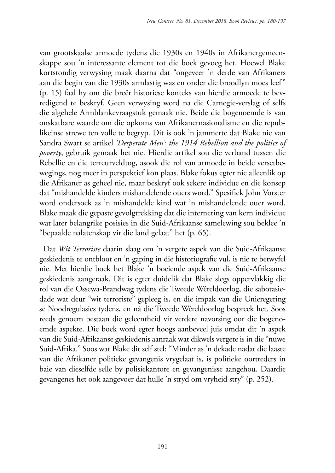van grootskaalse armoede tydens die 1930s en 1940s in Afrikanergemeenskappe sou 'n interessante element tot die boek gevoeg het. Hoewel Blake kortstondig verwysing maak daarna dat "ongeveer 'n derde van Afrikaners aan die begin van die 1930s armlastig was en onder die broodlyn moes leef" (p. 15) faal hy om die breër historiese konteks van hierdie armoede te bevredigend te beskryf. Geen verwysing word na die Carnegie-verslag of selfs die algehele Armblankevraagstuk gemaak nie. Beide die bogenoemde is van onskatbare waarde om die opkoms van Afrikanernasionalisme en die republikeinse strewe ten volle te begryp. Dit is ook 'n jammerte dat Blake nie van Sandra Swart se artikel *'Desperate Men': the 1914 Rebellion and the politics of poverty*, gebruik gemaak het nie. Hierdie artikel sou die verband tussen die Rebellie en die terreurveldtog, asook die rol van armoede in beide versetbewegings, nog meer in perspektief kon plaas. Blake fokus egter nie alleenlik op die Afrikaner as geheel nie, maar beskryf ook sekere individue en die konsep dat "mishandelde kinders mishandelende ouers word." Spesifiek John Vorster word ondersoek as 'n mishandelde kind wat 'n mishandelende ouer word. Blake maak die gepaste gevolgtrekking dat die internering van kern individue wat later belangrike posisies in die Suid-Afrikaanse samelewing sou beklee 'n "bepaalde nalatenskap vir die land gelaat" het (p. 65).

Dat *Wit Terroriste* daarin slaag om 'n vergete aspek van die Suid-Afrikaanse geskiedenis te ontbloot en 'n gaping in die historiografie vul, is nie te betwyfel nie. Met hierdie boek het Blake 'n boeiende aspek van die Suid-Afrikaanse geskiedenis aangeraak. Dit is egter duidelik dat Blake slegs oppervlakkig die rol van die Ossewa-Brandwag tydens die Tweede Wêreldoorlog, die sabotasiedade wat deur "wit terroriste" gepleeg is, en die impak van die Unieregering se Noodregulasies tydens, en ná die Tweede Wêreldoorlog bespreek het. Soos reeds genoem bestaan die geleentheid vir verdere navorsing oor die bogenoemde aspekte. Die boek word egter hoogs aanbeveel juis omdat dit 'n aspek van die Suid-Afrikaanse geskiedenis aanraak wat dikwels vergete is in die "nuwe Suid-Afrika." Soos wat Blake dit self stel: "Minder as 'n dekade nadat die laaste van die Afrikaner politieke gevangenis vrygelaat is, is politieke oortreders in baie van dieselfde selle by polisiekantore en gevangenisse aangehou. Daardie gevangenes het ook aangevoer dat hulle 'n stryd om vryheid stry" (p. 252).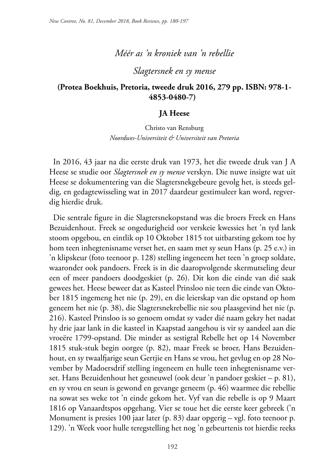### *Méér as 'n kroniek van 'n rebellie*

*Slagtersnek en sy mense*

## **(Protea Boekhuis, Pretoria, tweede druk 2016, 279 pp. ISBN: 978-1- 4853-0480-7)**

#### **JA Heese**

Christo van Rensburg *Noordwes-Universiteit & Universiteit van Pretoria*

In 2016, 43 jaar na die eerste druk van 1973, het die tweede druk van J A Heese se studie oor *Slagtersnek en sy mense* verskyn. Die nuwe insigte wat uit Heese se dokumentering van die Slagtersnekgebeure gevolg het, is steeds geldig, en gedagtewisseling wat in 2017 daardeur gestimuleer kan word, regverdig hierdie druk.

Die sentrale figure in die Slagtersnekopstand was die broers Freek en Hans Bezuidenhout. Freek se ongedurigheid oor verskeie kwessies het 'n tyd lank stoom opgebou, en eintlik op 10 Oktober 1815 tot uitbarsting gekom toe hy hom teen inhegtenisname verset het, en saam met sy seun Hans (p. 25 e.v.) in 'n klipskeur (foto teenoor p. 128) stelling ingeneem het teen 'n groep soldate, waaronder ook pandoers. Freek is in die daaropvolgende skermutseling deur een of meer pandoers doodgeskiet (p. 26). Dit kon die einde van dié saak gewees het. Heese beweer dat as Kasteel Prinsloo nie teen die einde van Oktober 1815 ingemeng het nie (p. 29), en die leierskap van die opstand op hom geneem het nie (p. 38), die Slagtersnekrebellie nie sou plaasgevind het nie (p. 216). Kasteel Prinsloo is so genoem omdat sy vader dié naam gekry het nadat hy drie jaar lank in die kasteel in Kaapstad aangehou is vir sy aandeel aan die vroeëre 1799-opstand. Die minder as sestigtal Rebelle het op 14 November 1815 stuk-stuk begin oorgee (p. 82), maar Freek se broer, Hans Bezuidenhout, en sy twaalfjarige seun Gertjie en Hans se vrou, het gevlug en op 28 November by Madoersdrif stelling ingeneem en hulle teen inhegtenisname verset. Hans Bezuidenhout het gesneuwel (ook deur 'n pandoer geskiet – p. 81), en sy vrou en seun is gewond en gevange geneem (p. 46) waarmee die rebellie na sowat ses weke tot 'n einde gekom het. Vyf van die rebelle is op 9 Maart 1816 op Vanaardtspos opgehang. Vier se toue het die eerste keer gebreek ('n Monument is presies 100 jaar later (p. 83) daar opgerig – vgl. foto teenoor p. 129). 'n Week voor hulle teregstelling het nog 'n gebeurtenis tot hierdie reeks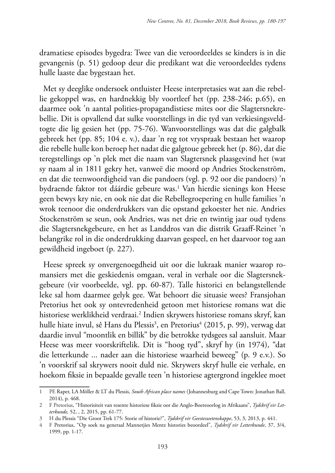dramatiese episodes bygedra: Twee van die veroordeeldes se kinders is in die gevangenis (p. 51) gedoop deur die predikant wat die veroordeeldes tydens hulle laaste dae bygestaan het.

Met sy deeglike ondersoek ontluister Heese interpretasies wat aan die rebellie gekoppel was, en hardnekkig bly voortleef het (pp. 238-246; p.65), en daarmee ook 'n aantal polities-propagandistiese mites oor die Slagtersnekrebellie. Dit is opvallend dat sulke voorstellings in die tyd van verkiesingsveldtogte die lig gesien het (pp. 75-76). Wanvoorstellings was dat die galgbalk gebreek het (pp. 85; 104 e. v.), daar 'n reg tot vryspraak bestaan het waarop die rebelle hulle kon beroep het nadat die galgtoue gebreek het (p. 86), dat die teregstellings op 'n plek met die naam van Slagtersnek plaasgevind het (wat sy naam al in 1811 gekry het, vanweë die moord op Andries Stockenström, en dat die teenwoordigheid van die pandoers (vgl. p. 92 oor die pandoers) 'n bydraende faktor tot dáárdie gebeure was.<sup>1</sup> Van hierdie sienings kon Heese geen bewys kry nie, en ook nie dat die Rebellegroepering en hulle families 'n wrok teenoor die onderdrukkers van die opstand gekoester het nie. Andries Stockenström se seun, ook Andries, was net drie en twintig jaar oud tydens die Slagtersnekgebeure, en het as Landdros van die distrik Graaff-Reinet 'n belangrike rol in die onderdrukking daarvan gespeel, en het daarvoor tog aan gewildheid ingeboet (p. 227).

Heese spreek sy onvergenoegdheid uit oor die lukraak manier waarop romansiers met die geskiedenis omgaan, veral in verhale oor die Slagtersnekgebeure (vir voorbeelde, vgl. pp. 60-87). Talle historici en belangstellende leke sal hom daarmee gelyk gee. Wat behoort die situasie wees? Fransjohan Pretorius het ook sy ontevredenheid getoon met historiese romans wat die historiese werklikheid verdraai.2 Indien skrywers historiese romans skryf, kan hulle hiate invul, sê Hans du Plessis<sup>3</sup>, en Pretorius<sup>4</sup> (2015, p. 99), verwag dat daardie invul "moontlik en billik" by die betrokke tydsgees sal aansluit. Maar Heese was meer voorskriftelik. Dit is "hoog tyd", skryf hy (in 1974), "dat die letterkunde ... nader aan die historiese waarheid beweeg" (p. 9 e.v.). So 'n voorskrif sal skrywers nooit duld nie. Skrywers skryf hulle eie verhale, en hoekom fiksie in bepaalde gevalle teen 'n historiese agtergrond ingeklee moet

<sup>1</sup> PE Raper, LA Möller & LT du Plessis, *South African place names* (Johannesburg and Cape Town: Jonathan Ball, 2014), p. 468.

<sup>2</sup> F Pretorius, "Historisiteit van resente historiese fiksie oor die Anglo-Boereoorlog in Afrikaans", *Tydskrif vir Letterkunde,* 52, , 2, 2015, pp. 61-77.

<sup>3</sup> H du Plessis "Die Groot Trek 175: Storie of historie?", *Tydskrif vir Geesteswetenskappe*, 53, 3, 2013, p. 441.

<sup>4</sup> F Pretorius, "Op soek na generaal Mannetjies Mentz histories beoordeel", *Tydskrif vir Letterkunde*, 37, 3/4, 1999, pp. 1-17.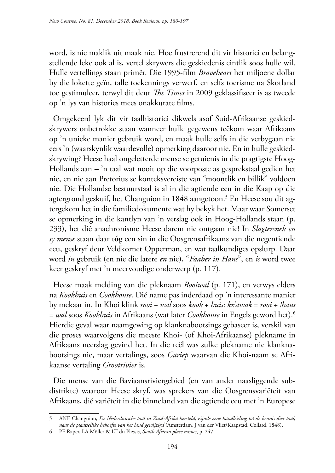word, is nie maklik uit maak nie. Hoe frustrerend dit vir historici en belangstellende leke ook al is, vertel skrywers die geskiedenis eintlik soos hulle wil. Hulle vertellings staan primêr. Die 1995-film *Braveheart* het miljoene dollar by die lokette geïn, talle toekennings verwerf, en selfs toerisme na Skotland toe gestimuleer, terwyl dit deur *The Times* in 2009 geklassifiseer is as tweede op 'n lys van histories mees onakkurate films.

Omgekeerd lyk dit vir taalhistorici dikwels asof Suid-Afrikaanse geskiedskrywers onbetrokke staan wanneer hulle gegewens teëkom waar Afrikaans op 'n unieke manier gebruik word, en maak hulle selfs in die verbygaan nie eers 'n (waarskynlik waardevolle) opmerking daaroor nie. En in hulle geskiedskrywing? Heese haal ongeletterde mense se getuienis in die pragtigste Hoog-Hollands aan – 'n taal wat nooit op die voorposte as gesprekstaal gedien het nie, en nie aan Pretorius se konteksvereiste van "moontlik en billik" voldoen nie. Die Hollandse bestuurstaal is al in die agtiende eeu in die Kaap op die agtergrond geskuif, het Changuion in 1848 aangetoon.<sup>5</sup> En Heese sou dit agtergekom het in die familiedokumente wat hy bekyk het. Maar waar Somerset se opmerking in die kantlyn van 'n verslag ook in Hoog-Hollands staan (p. 233), het dié anachronisme Heese darem nie ontgaan nie! In *Slagtersnek en sy mense* staan daar t**ó**g een sin in die Oosgrensafrikaans van die negentiende eeu, geskryf deur Veldkornet Opperman, en wat taalkundiges opslurp. Daar word *in* gebruik (en nie die latere *en* nie), "*Faaber in Hans*", en *is* word twee keer geskryf met 'n meervoudige onderwerp (p. 117).

Heese maak melding van die pleknaam *Rooiwal* (p. 171), en verwys elders na *Kookhuis* en *Cookhouse*. Dié name pas inderdaad op 'n interessante manier by mekaar in. In Khoi klink *rooi* + *wal* soos *kook* + *huis*: *kx'awak* = *rooi* + *!haus* = *wal* soos *Kookhuis* in Afrikaans (wat later *Cookhouse* in Engels geword het).6 Hierdie geval waar naamgewing op klanknabootsings gebaseer is, verskil van die proses waarvolgens die meeste Khoi- (of Khoi-Afrikaanse) plekname in Afrikaans neerslag gevind het. In die reël was sulke plekname nie klanknabootsings nie, maar vertalings, soos *Gariep* waarvan die Khoi-naam se Afrikaanse vertaling *Grootrivier* is.

Die mense van die Baviaansriviergebied (en van ander naasliggende subdistrikte) waaroor Heese skryf, was sprekers van die Oosgrensvariëteit van Afrikaans, dié variëteit in die binneland van die agtiende eeu met 'n Europese

<sup>5</sup> ANE Changuion, *De Nederduitsche taal in Zuid-Afrika hersteld, zijnde eene handleiding tot de kennis dier taal, naar de plaatselijke behoefte van het land gewijzigd* (Amsterdam, J van der Vliet/Kaapstad, Collard, 1848).

<sup>6</sup> PE Raper, LA Möller & LT du Plessis, *South African place names*, p. 247.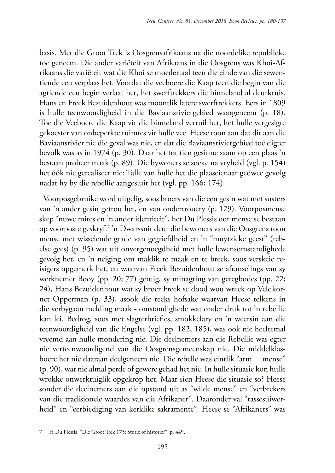basis. Met die Groot Trek is Oosgrensafrikaans na die noordelike republieke toe geneem. Die ander variëteit van Afrikaans in die Oosgrens was Khoi-Afrikaans die variëteit wat die Khoi se moedertaal teen die einde van die sewentiende eeu verplaas het. Voordat die veeboere die Kaap teen die begin van die agtiende eeu begin verlaat het, het swerftrekkers die binneland al deurkruis. Hans en Freek Bezuidenhout was moontlik latere swerftrekkers. Eers in 1809 is hulle teenwoordigheid in die Baviaansriviergebied waargeneem (p. 18). Toe die Veeboere die Kaap vir die binneland verruil het, het hulle vergesigte gekoester van onbeperkte ruimtes vir hulle vee. Heese toon aan dat dit aan die Baviaansrivier nie die geval was nie, en dat die Baviaansriviergebied toé digter bevolk was as in 1974 (p. 30). Daar het tot tien gesinne saam op een plaas 'n bestaan probeer maak (p. 89). Die bywoners se soeke na vryheid (vgl. p. 154) het óók nie gerealiseer nie: Talle van hulle het die plaaseienaar gedwee gevolg nadat hy by die rebellie aangesluit het (vgl. pp. 166; 174).

Voorposgebruike word uitgelig, soos broers van die een gesin wat met susters van 'n ander gesin getrou het, en van ondertrouery (p. 129). Voorposmense skep "nuwe mites en 'n ander identiteit", het Du Plessis oor mense se bestaan op voorposte geskryf.7 'n Dwarssnit deur die bewoners van die Oosgrens toon mense met wisselende grade van gegriefdheid en 'n "muytzieke geest" (rebelse gees) (p. 95) wat uit onvergenoegdheid met hulle lewensomstandighede gevolg het, en 'n neiging om maklik te maak en te breek, soos verskeie reisigers opgemerk het, en waarvan Freek Bezuidenhout se afranselings van sy werknemer Booy (pp. 20; 77) getuig, sy minagting van geregbodes (pp. 22; 24), Hans Bezuidenhout wat sy broer Freek se dood wou wreek op Veldkornet Opperman (p. 33), asook die reeks hofsake waarvan Heese telkens in die verbygaan melding maak - omstandighede wat onder druk tot 'n rebellie kan lei. Bedrog, soos met slagterbriefies, smokkelary en 'n weersin aan die teenwoordigheid van die Engelse (vgl. pp. 182, 185), was ook nie heeltemal vreemd aan hulle mondering nie. Die deelnemers aan die Rebellie was egter nie verteenwoordigend van die Oosgrensgemeenskap nie. Die middelklasboere het nie daaraan deelgeneem nie. Die rebelle was eintlik "arm ... mense" (p. 90), wat nie almal perde of gewere gehad het nie. In hulle situasie kon hulle wrokke onwerktuiglik opgekrop het. Maar sien Heese die situasie so? Heese sonder die deelnemers aan die opstand uit as "wilde mense" en "verbrekers van die tradisionele waardes van die Afrikaner". Daaronder val "rassesuiwerheid" en "eerbiediging van kerklike sakramente". Heese se "Afrikaners" was

<sup>7</sup> H Du Plessis, "Die Groot Trek 175: Storie of historie?", p. 449.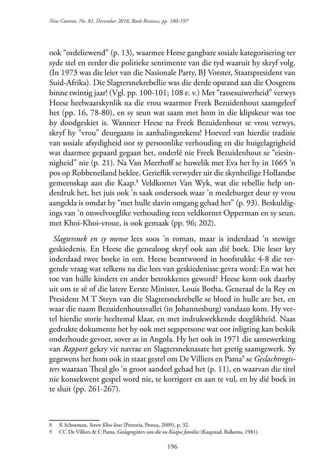ook "ordeliewend" (p. 13), waarmee Heese gangbare sosiale kategorisering ter syde stel en eerder die politieke sentimente van die tyd waaruit hy skryf volg. (In 1973 was die leier van die Nasionale Party, BJ Vorster, Staatspresident van Suid-Afrika). Die Slagtersnekrebellie was die derde opstand aan die Oosgrens binne twintig jaar! (Vgl. pp. 100-101; 108 e. v.) Met "rassesuiwerheid" verwys Heese heelwaarskynlik na die vrou waarmee Freek Bezuidenhout saamgeleef het (pp. 16, 78-80), en sy seun wat saam met hom in die klipskeur was toe hy doodgeskiet is. Wanneer Heese na Freek Bezuidenhout se vrou verwys, skryf hy "vrou" deurgaans in aanhalingstekens! Hoeveel van hierdie tradisie van sosiale afsydigheid oor sy persoonlike verhouding en die huigelagtigheid wat daarmee gepaard gegaan het, onderlê nie Freek Bezuidenhout se "eiesinnigheid" nie (p. 21). Na Van Meerhoff se huwelik met Eva het hy in 1665 'n pos op Robbeneiland beklee. Gerieflik verwyder uit die skynheilige Hollandse gemeenskap aan die Kaap.<sup>8</sup> Veldkornet Van Wyk, wat die rebellie help onderdruk het, het juis ook 'n saak ondersoek waar 'n medeburger deur sy vrou aangekla is omdat hy "met hulle slavin omgang gehad het" (p. 93). Beskuldigings van 'n onwelvoeglike verhouding teen veldkornet Opperman en sy seun, met Khoi-Khoi-vroue, is ook gemaak (pp. 96; 202).

*Slagtersnek en sy mense* lees soos 'n roman, maar is inderdaad 'n stewige geskiedenis. En Heese die genealoog skryf ook aan dié boek. Die leser kry inderdaad twee boeke in een. Heese beantwoord in hoofstukke 4-8 die tergende vraag wat telkens na die lees van geskiedenisse gevra word: En wat het toe van húlle kinders en ander betrokkenes geword? Heese kom ook daarby uit om te sê of die latere Eerste Minister, Louis Botha, Generaal de la Rey en President M T Steyn van die Slagtersnekrebelle se bloed in hulle are het, en waar die naam Bezuidenhoutsvallei (in Johannesburg) vandaan kom. Hy vertel hierdie storie heeltemal klaar, en met indrukwekkende deeglikheid. Naas gedrukte dokumente het hy ook met segspersone wat oor inligting kan beskik onderhoude gevoer, sover as in Angola. Hy het ook in 1971 die samewerking van *Rapport* gekry vir navrae en Slagtersneknasate het gretig saamgewerk. Sy gegewens het hom ook in staat gestel om De Villiers en Pama<sup>9</sup> se *Geslachtregisters* waaraan Theal glo 'n groot aandeel gehad het (p. 11), en waarvan die titel nie konsekwent gespel word nie, te korrigeer en aan te vul, en by dié boek in te sluit (pp. 261-267).

<sup>8</sup> K Schoeman, *Seven Khoi lives* (Pretoria, Protea, 2009), p. 32.

<sup>9</sup> CC De Villiers & C Pama, *Geslagregisters van die ou Kaapse families* (Kaapstad, Balkema, 1981).